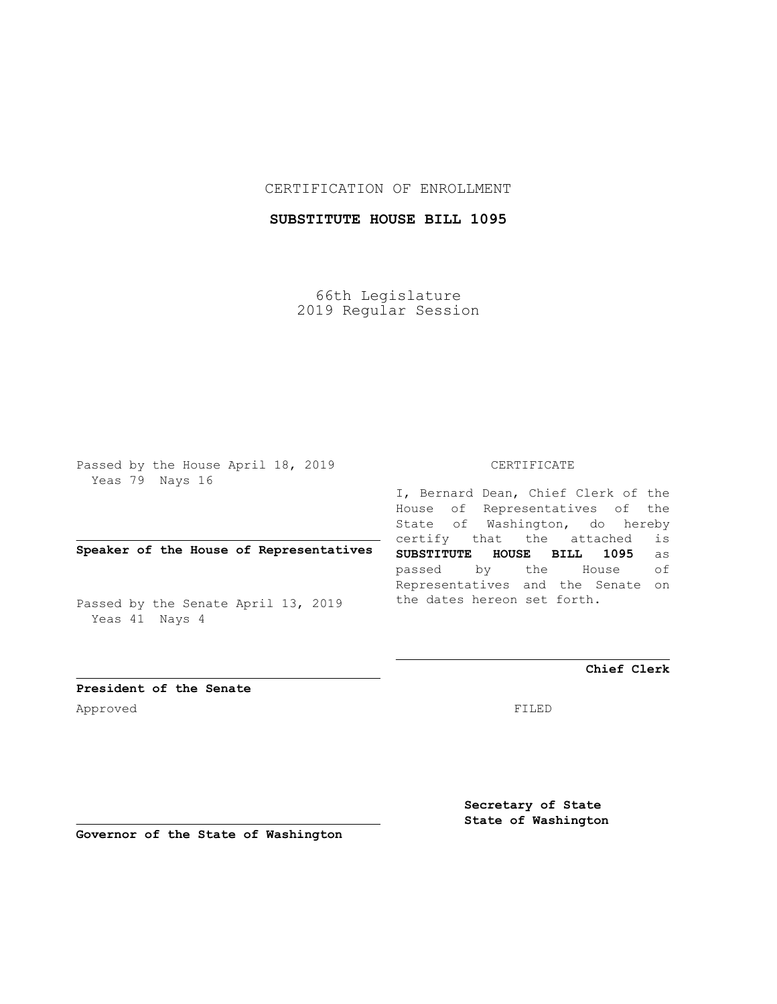## CERTIFICATION OF ENROLLMENT

## **SUBSTITUTE HOUSE BILL 1095**

66th Legislature 2019 Regular Session

Passed by the House April 18, 2019 Yeas 79 Nays 16

## **Speaker of the House of Representatives**

Passed by the Senate April 13, 2019 Yeas 41 Nays 4

#### CERTIFICATE

I, Bernard Dean, Chief Clerk of the House of Representatives of the State of Washington, do hereby certify that the attached is **SUBSTITUTE HOUSE BILL 1095** as passed by the House of Representatives and the Senate on the dates hereon set forth.

**Chief Clerk**

**President of the Senate** Approved FILED

**Secretary of State State of Washington**

**Governor of the State of Washington**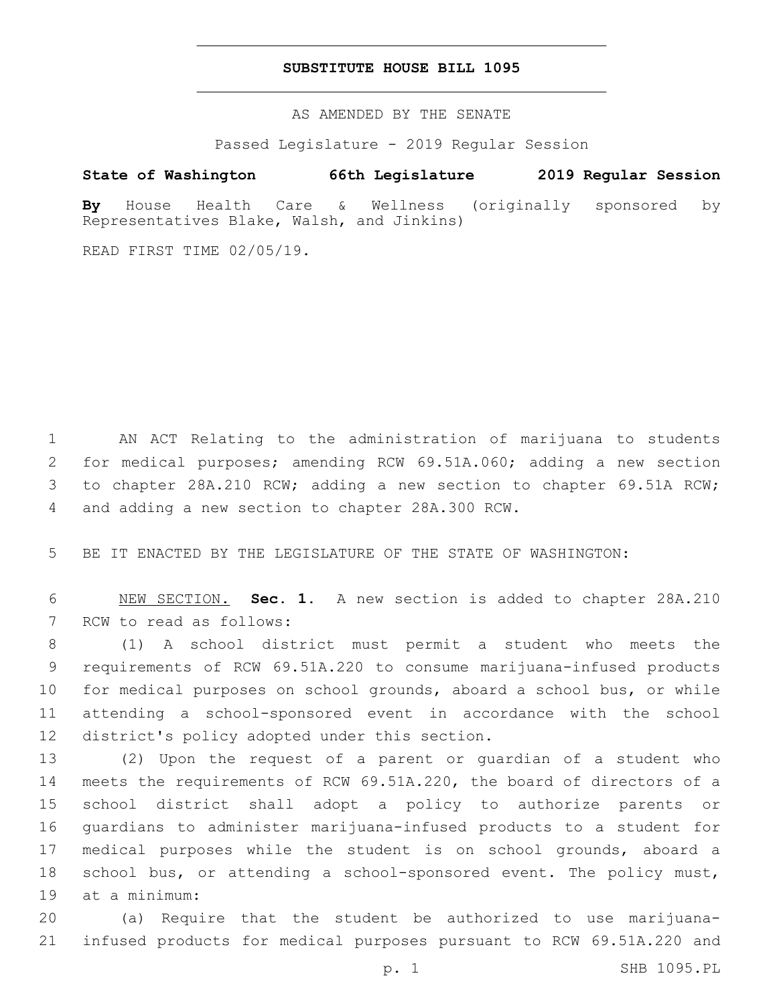### **SUBSTITUTE HOUSE BILL 1095**

AS AMENDED BY THE SENATE

Passed Legislature - 2019 Regular Session

# **State of Washington 66th Legislature 2019 Regular Session**

**By** House Health Care & Wellness (originally sponsored by Representatives Blake, Walsh, and Jinkins)

READ FIRST TIME 02/05/19.

 AN ACT Relating to the administration of marijuana to students for medical purposes; amending RCW 69.51A.060; adding a new section to chapter 28A.210 RCW; adding a new section to chapter 69.51A RCW; 4 and adding a new section to chapter 28A.300 RCW.

5 BE IT ENACTED BY THE LEGISLATURE OF THE STATE OF WASHINGTON:

6 NEW SECTION. **Sec. 1.** A new section is added to chapter 28A.210 7 RCW to read as follows:

 (1) A school district must permit a student who meets the requirements of RCW 69.51A.220 to consume marijuana-infused products for medical purposes on school grounds, aboard a school bus, or while attending a school-sponsored event in accordance with the school 12 district's policy adopted under this section.

 (2) Upon the request of a parent or guardian of a student who meets the requirements of RCW 69.51A.220, the board of directors of a school district shall adopt a policy to authorize parents or guardians to administer marijuana-infused products to a student for medical purposes while the student is on school grounds, aboard a school bus, or attending a school-sponsored event. The policy must, 19 at a minimum:

20 (a) Require that the student be authorized to use marijuana-21 infused products for medical purposes pursuant to RCW 69.51A.220 and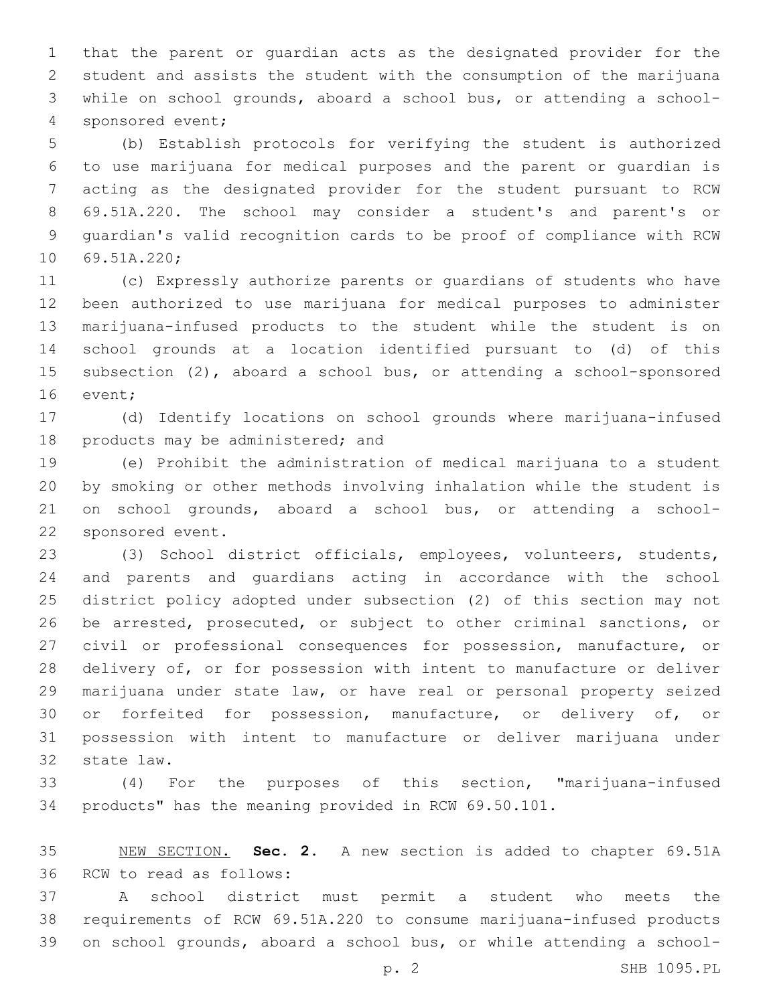that the parent or guardian acts as the designated provider for the student and assists the student with the consumption of the marijuana while on school grounds, aboard a school bus, or attending a school-4 sponsored event;

 (b) Establish protocols for verifying the student is authorized to use marijuana for medical purposes and the parent or guardian is acting as the designated provider for the student pursuant to RCW 69.51A.220. The school may consider a student's and parent's or guardian's valid recognition cards to be proof of compliance with RCW 10 69.51A.220;

 (c) Expressly authorize parents or guardians of students who have been authorized to use marijuana for medical purposes to administer marijuana-infused products to the student while the student is on school grounds at a location identified pursuant to (d) of this subsection (2), aboard a school bus, or attending a school-sponsored 16 event;

 (d) Identify locations on school grounds where marijuana-infused 18 products may be administered; and

 (e) Prohibit the administration of medical marijuana to a student by smoking or other methods involving inhalation while the student is on school grounds, aboard a school bus, or attending a school-22 sponsored event.

 (3) School district officials, employees, volunteers, students, and parents and guardians acting in accordance with the school district policy adopted under subsection (2) of this section may not be arrested, prosecuted, or subject to other criminal sanctions, or civil or professional consequences for possession, manufacture, or delivery of, or for possession with intent to manufacture or deliver marijuana under state law, or have real or personal property seized or forfeited for possession, manufacture, or delivery of, or possession with intent to manufacture or deliver marijuana under 32 state law.

 (4) For the purposes of this section, "marijuana-infused products" has the meaning provided in RCW 69.50.101.

 NEW SECTION. **Sec. 2.** A new section is added to chapter 69.51A 36 RCW to read as follows:

 A school district must permit a student who meets the requirements of RCW 69.51A.220 to consume marijuana-infused products on school grounds, aboard a school bus, or while attending a school-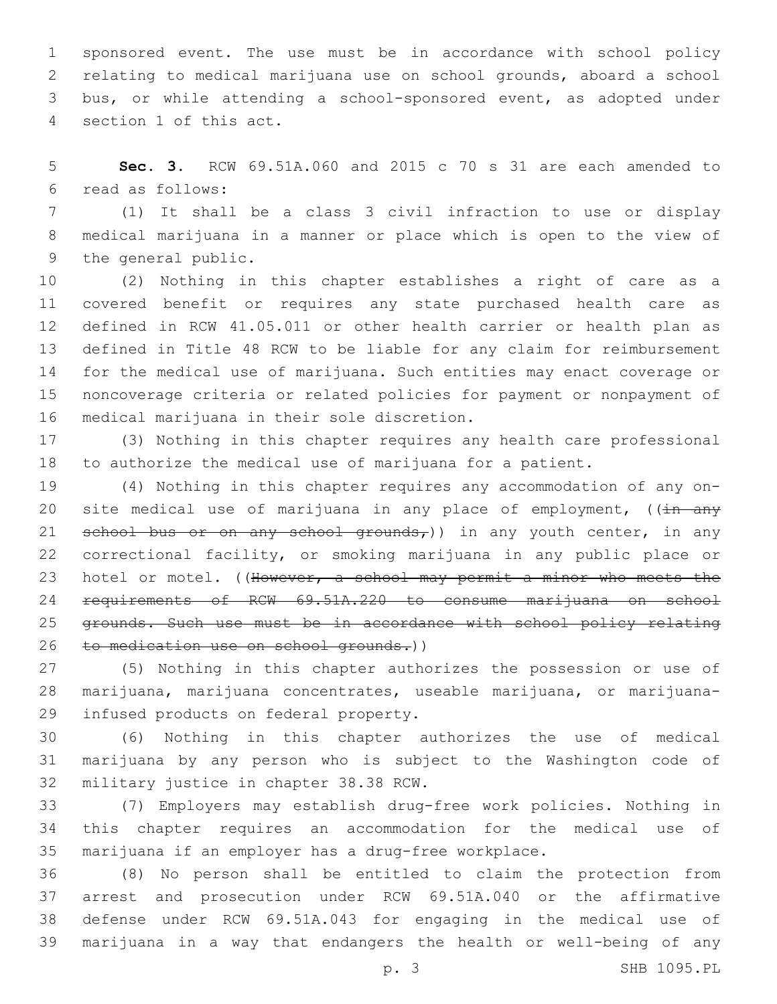sponsored event. The use must be in accordance with school policy relating to medical marijuana use on school grounds, aboard a school bus, or while attending a school-sponsored event, as adopted under 4 section 1 of this act.

 **Sec. 3.** RCW 69.51A.060 and 2015 c 70 s 31 are each amended to read as follows:6

 (1) It shall be a class 3 civil infraction to use or display medical marijuana in a manner or place which is open to the view of 9 the general public.

 (2) Nothing in this chapter establishes a right of care as a covered benefit or requires any state purchased health care as defined in RCW 41.05.011 or other health carrier or health plan as defined in Title 48 RCW to be liable for any claim for reimbursement for the medical use of marijuana. Such entities may enact coverage or noncoverage criteria or related policies for payment or nonpayment of 16 medical marijuana in their sole discretion.

 (3) Nothing in this chapter requires any health care professional to authorize the medical use of marijuana for a patient.

 (4) Nothing in this chapter requires any accommodation of any on-20 site medical use of marijuana in any place of employment,  $((\frac{1}{11} + \frac{1}{21})$ 21 school bus or on any school grounds,)) in any youth center, in any correctional facility, or smoking marijuana in any public place or 23 hotel or motel. ((However, a school may permit a minor who meets the requirements of RCW 69.51A.220 to consume marijuana on school grounds. Such use must be in accordance with school policy relating 26 to medication use on school grounds.))

 (5) Nothing in this chapter authorizes the possession or use of marijuana, marijuana concentrates, useable marijuana, or marijuana-29 infused products on federal property.

 (6) Nothing in this chapter authorizes the use of medical marijuana by any person who is subject to the Washington code of 32 military justice in chapter 38.38 RCW.

 (7) Employers may establish drug-free work policies. Nothing in this chapter requires an accommodation for the medical use of marijuana if an employer has a drug-free workplace.

 (8) No person shall be entitled to claim the protection from arrest and prosecution under RCW 69.51A.040 or the affirmative defense under RCW 69.51A.043 for engaging in the medical use of marijuana in a way that endangers the health or well-being of any

p. 3 SHB 1095.PL